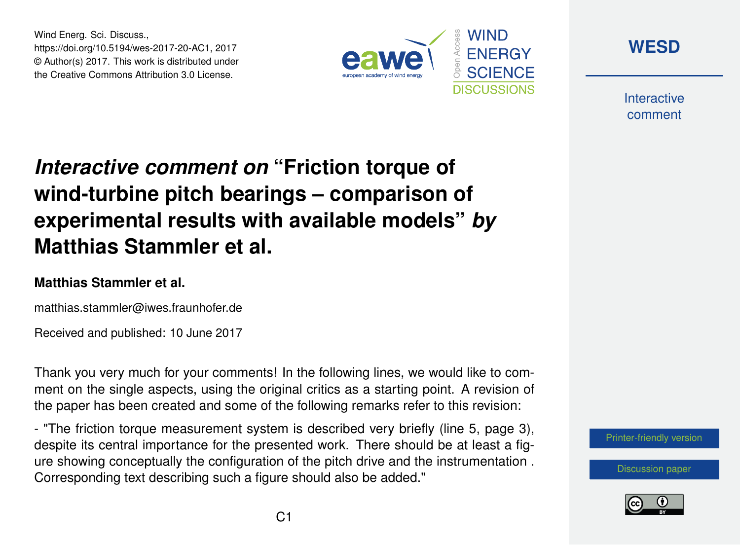Wind Energ. Sci. Discuss., https://doi.org/10.5194/wes-2017-20-AC1, 2017 © Author(s) 2017. This work is distributed under the Creative Commons Attribution 3.0 License.





**Interactive** comment

## *Interactive comment on* **"Friction torque of wind-turbine pitch bearings – comparison of experimental results with available models"** *by* **Matthias Stammler et al.**

## **Matthias Stammler et al.**

matthias.stammler@iwes.fraunhofer.de

Received and published: 10 June 2017

Thank you very much for your comments! In the following lines, we would like to comment on the single aspects, using the original critics as a starting point. A revision of the paper has been created and some of the following remarks refer to this revision:

- "The friction torque measurement system is described very briefly (line 5, page 3), despite its central importance for the presented work. There should be at least a figure showing conceptually the configuration of the pitch drive and the instrumentation . Corresponding text describing such a figure should also be added."



[Discussion paper](http://www.wind-energ-sci-discuss.net/wes-2017-20)

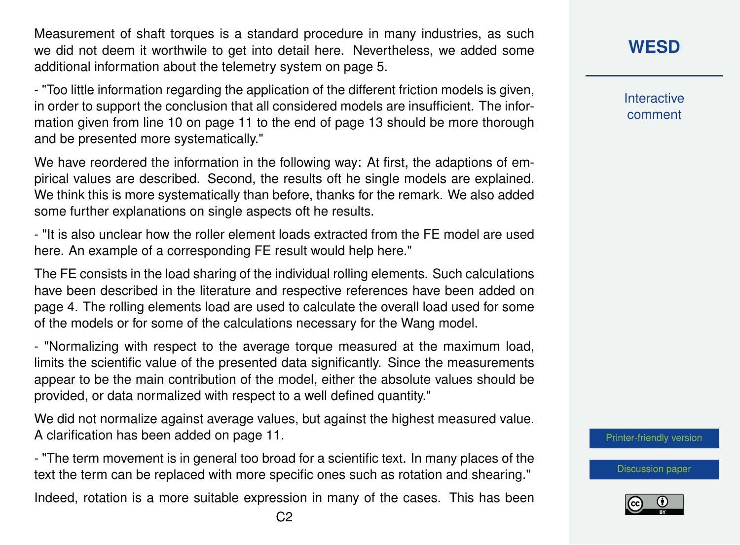Measurement of shaft torques is a standard procedure in many industries, as such we did not deem it worthwile to get into detail here. Nevertheless, we added some additional information about the telemetry system on page 5.

- "Too little information regarding the application of the different friction models is given, in order to support the conclusion that all considered models are insufficient. The information given from line 10 on page 11 to the end of page 13 should be more thorough and be presented more systematically."

We have reordered the information in the following way: At first, the adaptions of empirical values are described. Second, the results oft he single models are explained. We think this is more systematically than before, thanks for the remark. We also added some further explanations on single aspects oft he results.

- "It is also unclear how the roller element loads extracted from the FE model are used here. An example of a corresponding FE result would help here."

The FE consists in the load sharing of the individual rolling elements. Such calculations have been described in the literature and respective references have been added on page 4. The rolling elements load are used to calculate the overall load used for some of the models or for some of the calculations necessary for the Wang model.

- "Normalizing with respect to the average torque measured at the maximum load, limits the scientific value of the presented data significantly. Since the measurements appear to be the main contribution of the model, either the absolute values should be provided, or data normalized with respect to a well defined quantity."

We did not normalize against average values, but against the highest measured value. A clarification has been added on page 11.

- "The term movement is in general too broad for a scientific text. In many places of the text the term can be replaced with more specific ones such as rotation and shearing."

Indeed, rotation is a more suitable expression in many of the cases. This has been

**Interactive** comment

[Printer-friendly version](http://www.wind-energ-sci-discuss.net/wes-2017-20/wes-2017-20-AC1-print.pdf)

[Discussion paper](http://www.wind-energ-sci-discuss.net/wes-2017-20)